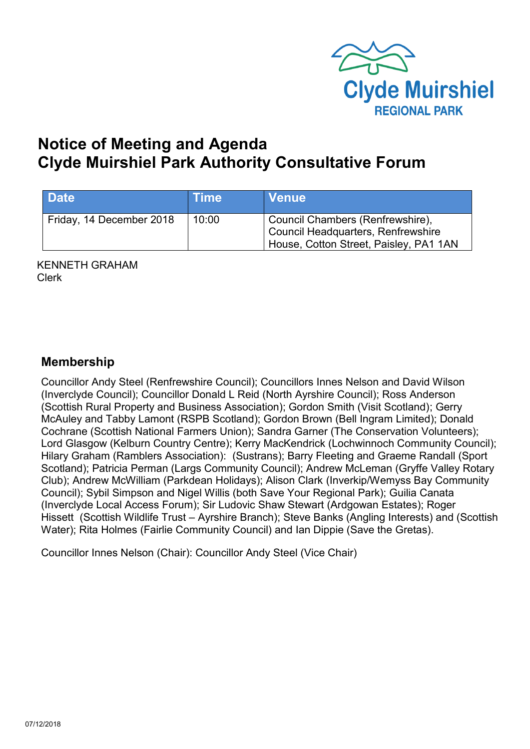

# **Notice of Meeting and Agenda Clyde Muirshiel Park Authority Consultative Forum**

| Date                     | <b>Time</b> | <b>Venue</b>                                                                                                     |
|--------------------------|-------------|------------------------------------------------------------------------------------------------------------------|
| Friday, 14 December 2018 | 10:00       | Council Chambers (Renfrewshire),<br>Council Headquarters, Renfrewshire<br>House, Cotton Street, Paisley, PA1 1AN |

KENNETH GRAHAM Clerk

# **Membership**

Councillor Andy Steel (Renfrewshire Council); Councillors Innes Nelson and David Wilson (Inverclyde Council); Councillor Donald L Reid (North Ayrshire Council); Ross Anderson (Scottish Rural Property and Business Association); Gordon Smith (Visit Scotland); Gerry McAuley and Tabby Lamont (RSPB Scotland); Gordon Brown (Bell Ingram Limited); Donald Cochrane (Scottish National Farmers Union); Sandra Garner (The Conservation Volunteers); Lord Glasgow (Kelburn Country Centre); Kerry MacKendrick (Lochwinnoch Community Council); Hilary Graham (Ramblers Association): (Sustrans); Barry Fleeting and Graeme Randall (Sport Scotland); Patricia Perman (Largs Community Council); Andrew McLeman (Gryffe Valley Rotary Club); Andrew McWilliam (Parkdean Holidays); Alison Clark (Inverkip/Wemyss Bay Community Council); Sybil Simpson and Nigel Willis (both Save Your Regional Park); Guilia Canata (Inverclyde Local Access Forum); Sir Ludovic Shaw Stewart (Ardgowan Estates); Roger Hissett (Scottish Wildlife Trust – Ayrshire Branch); Steve Banks (Angling Interests) and (Scottish Water); Rita Holmes (Fairlie Community Council) and Ian Dippie (Save the Gretas).

Councillor Innes Nelson (Chair): Councillor Andy Steel (Vice Chair)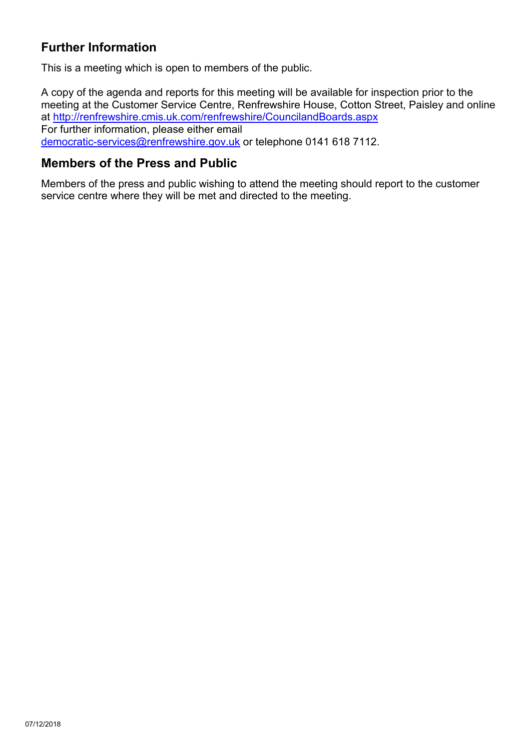# **Further Information**

This is a meeting which is open to members of the public.

A copy of the agenda and reports for this meeting will be available for inspection prior to the meeting at the Customer Service Centre, Renfrewshire House, Cotton Street, Paisley and online at <http://renfrewshire.cmis.uk.com/renfrewshire/CouncilandBoards.aspx> For further information, please either email [democratic-services@renfrewshire.gov.uk](mailto:democratic-services@renfrewshire.gov.uk) or telephone 0141 618 7112.

#### **Members of the Press and Public**

Members of the press and public wishing to attend the meeting should report to the customer service centre where they will be met and directed to the meeting.